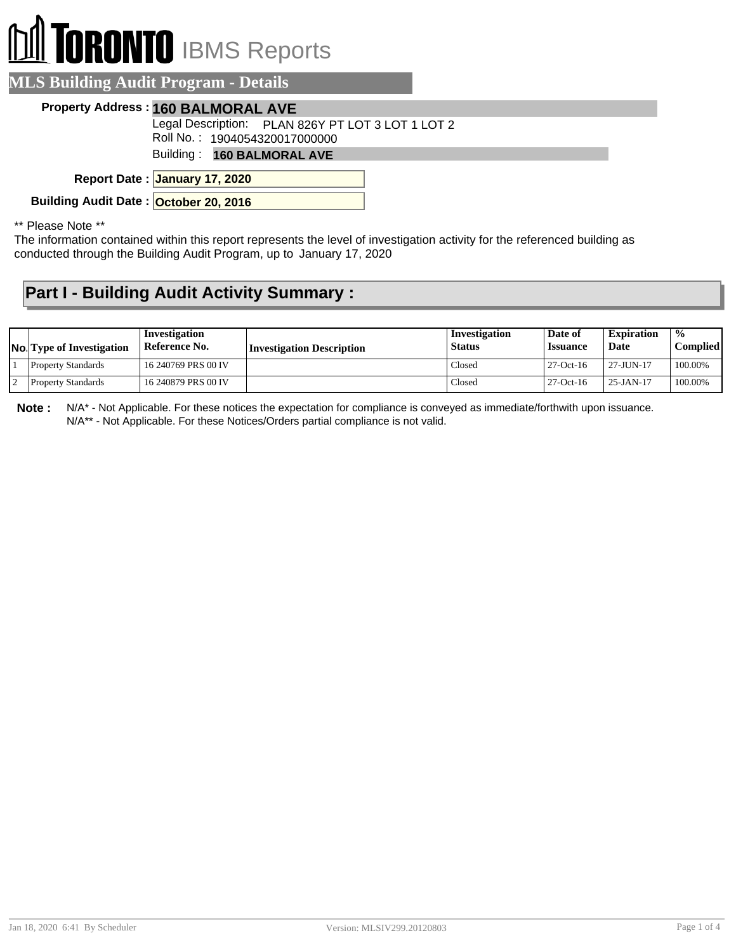# **DRONTO** IBMS Reports

|  | <b>MLS Building Audit Program - Details</b> |
|--|---------------------------------------------|
|  |                                             |

#### **Property Address : 160 BALMORAL AVE**

Legal Description: PLAN 826Y PT LOT 3 LOT 1 LOT 2

Roll No. : 1904054320017000000

Building : **160 BALMORAL AVE**

**January 17, 2020 Report Date :**

**Building Audit Date : October 20, 2016**

\*\* Please Note \*\*

The information contained within this report represents the level of investigation activity for the referenced building as conducted through the Building Audit Program, up to January 17, 2020

### **Part I - Building Audit Activity Summary :**

| <b>No.</b> Type of Investigation | Investigation<br>Reference No. | Investigation Description | Investigation<br><b>Status</b> | Date of<br><b>Issuance</b> | <b>Expiration</b><br>Date | $\frac{0}{0}$<br>Complied l |
|----------------------------------|--------------------------------|---------------------------|--------------------------------|----------------------------|---------------------------|-----------------------------|
| <b>Property Standards</b>        | 16 240769 PRS 00 IV            |                           | Closed                         | $27-Oct-16$                | 27-JUN-17                 | 100.00%                     |
| <b>Property Standards</b>        | 16 240879 PRS 00 IV            |                           | Closed                         | $27-Oct-16$                | $25 - JAN - 17$           | 100.00%                     |

**Note :** N/A\* - Not Applicable. For these notices the expectation for compliance is conveyed as immediate/forthwith upon issuance. N/A\*\* - Not Applicable. For these Notices/Orders partial compliance is not valid.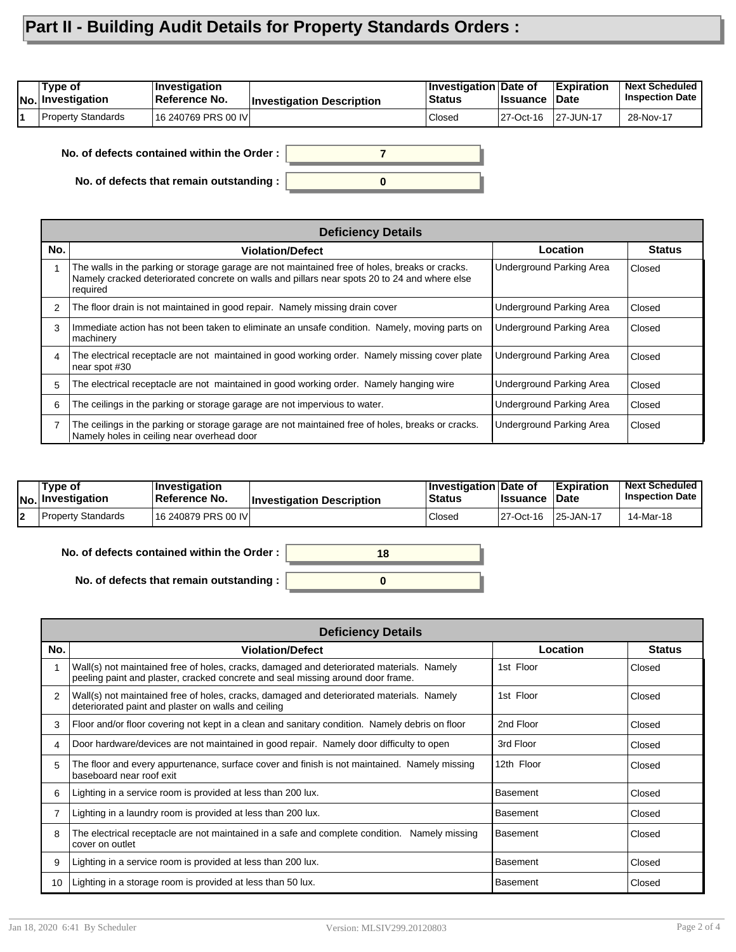## **Part II - Building Audit Details for Property Standards Orders :**

| 'Tvpe of<br> No. Investigation | ∣Investiɑation<br>Reference No. | <b>Investigation Description</b> | <b>Investigation Date of</b><br><b>Status</b> | <b>I</b> ssuance | Expiration<br>∣Date | <b>Next Scheduled</b><br><b>Inspection Date</b> |
|--------------------------------|---------------------------------|----------------------------------|-----------------------------------------------|------------------|---------------------|-------------------------------------------------|
| <b>Property Standards</b>      | 16 240769 PRS 00 IVI            |                                  | Closed                                        | 27-Oct-16        | 27-JUN-17           | 28-Nov-17                                       |

**No. of defects contained within the Order :**

**No. of defects that remain outstanding :**



|                | <b>Deficiency Details</b>                                                                                                                                                                                  |                          |               |  |  |  |
|----------------|------------------------------------------------------------------------------------------------------------------------------------------------------------------------------------------------------------|--------------------------|---------------|--|--|--|
| No.            | <b>Violation/Defect</b>                                                                                                                                                                                    | Location                 | <b>Status</b> |  |  |  |
|                | The walls in the parking or storage garage are not maintained free of holes, breaks or cracks.<br>Namely cracked deteriorated concrete on walls and pillars near spots 20 to 24 and where else<br>required | Underground Parking Area | Closed        |  |  |  |
| 2              | The floor drain is not maintained in good repair. Namely missing drain cover                                                                                                                               | Underground Parking Area | Closed        |  |  |  |
| 3              | Immediate action has not been taken to eliminate an unsafe condition. Namely, moving parts on<br>machinery                                                                                                 | Underground Parking Area | Closed        |  |  |  |
| 4              | The electrical receptacle are not maintained in good working order. Namely missing cover plate<br>near spot #30                                                                                            | Underground Parking Area | Closed        |  |  |  |
| 5              | The electrical receptacle are not maintained in good working order. Namely hanging wire                                                                                                                    | Underground Parking Area | Closed        |  |  |  |
| 6              | The ceilings in the parking or storage garage are not impervious to water.                                                                                                                                 | Underground Parking Area | Closed        |  |  |  |
| $\overline{7}$ | The ceilings in the parking or storage garage are not maintained free of holes, breaks or cracks.<br>Namely holes in ceiling near overhead door                                                            | Underground Parking Area | Closed        |  |  |  |

| Tvpe of<br>No. Investigation | ∣Investiqation<br><b>∣Reference No.</b> | <b>Investigation Description</b> | <b>∣Investigation Date of</b><br><b>Status</b> | llssuance | <b>Expiration</b><br>⊺Date | <b>Next Scheduled</b><br><b>Inspection Date</b> |
|------------------------------|-----------------------------------------|----------------------------------|------------------------------------------------|-----------|----------------------------|-------------------------------------------------|
| <b>Property Standards</b>    | 16 240879 PRS 00 IVI                    |                                  | Closed                                         | 27-Oct-16 | l 25-JAN-17                | 14-Mar-18                                       |

| No. of defects contained within the Order: | 18 |
|--------------------------------------------|----|
|                                            |    |
| No. of defects that remain outstanding :   |    |

|                | <b>Deficiency Details</b>                                                                                                                                                   |                 |               |  |  |  |  |
|----------------|-----------------------------------------------------------------------------------------------------------------------------------------------------------------------------|-----------------|---------------|--|--|--|--|
| No.            | <b>Violation/Defect</b>                                                                                                                                                     | Location        | <b>Status</b> |  |  |  |  |
|                | Wall(s) not maintained free of holes, cracks, damaged and deteriorated materials. Namely<br>peeling paint and plaster, cracked concrete and seal missing around door frame. | 1st Floor       | Closed        |  |  |  |  |
| $\mathcal{P}$  | Wall(s) not maintained free of holes, cracks, damaged and deteriorated materials. Namely<br>deteriorated paint and plaster on walls and ceiling                             | 1st Floor       | Closed        |  |  |  |  |
| 3              | Floor and/or floor covering not kept in a clean and sanitary condition. Namely debris on floor                                                                              | 2nd Floor       | Closed        |  |  |  |  |
| 4              | Door hardware/devices are not maintained in good repair. Namely door difficulty to open                                                                                     | 3rd Floor       | Closed        |  |  |  |  |
| 5              | The floor and every appurtenance, surface cover and finish is not maintained. Namely missing<br>baseboard near roof exit                                                    | 12th Floor      | Closed        |  |  |  |  |
| 6              | Lighting in a service room is provided at less than 200 lux.                                                                                                                | <b>Basement</b> | Closed        |  |  |  |  |
| $\overline{7}$ | Lighting in a laundry room is provided at less than 200 lux.                                                                                                                | <b>Basement</b> | Closed        |  |  |  |  |
| 8              | The electrical receptacle are not maintained in a safe and complete condition.<br>Namely missing<br>cover on outlet                                                         | <b>Basement</b> | Closed        |  |  |  |  |
| 9              | Lighting in a service room is provided at less than 200 lux.                                                                                                                | <b>Basement</b> | Closed        |  |  |  |  |
| 10             | Lighting in a storage room is provided at less than 50 lux.                                                                                                                 | <b>Basement</b> | Closed        |  |  |  |  |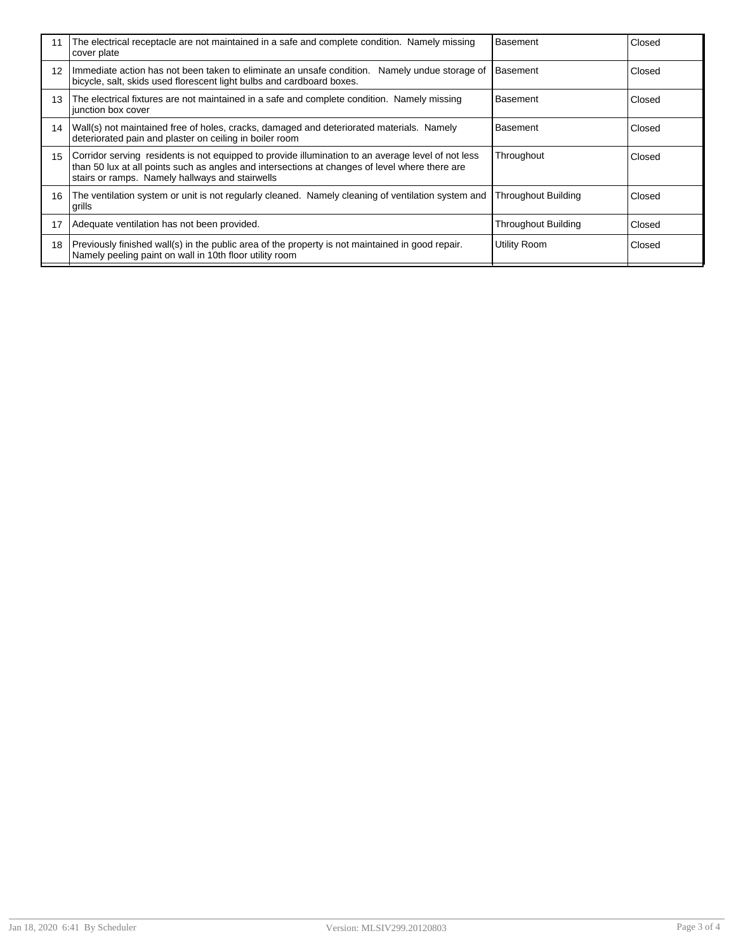| 11              | The electrical receptacle are not maintained in a safe and complete condition. Namely missing<br>cover plate                                                                                                                                            | <b>Basement</b>     | Closed |
|-----------------|---------------------------------------------------------------------------------------------------------------------------------------------------------------------------------------------------------------------------------------------------------|---------------------|--------|
| 12              | Immediate action has not been taken to eliminate an unsafe condition.<br>Namely undue storage of<br>bicycle, salt, skids used florescent light bulbs and cardboard boxes.                                                                               | <b>Basement</b>     | Closed |
| 13              | The electrical fixtures are not maintained in a safe and complete condition. Namely missing<br>junction box cover                                                                                                                                       | <b>Basement</b>     | Closed |
| 14              | Wall(s) not maintained free of holes, cracks, damaged and deteriorated materials. Namely<br>deteriorated pain and plaster on ceiling in boiler room                                                                                                     | <b>Basement</b>     | Closed |
| 15 <sup>1</sup> | Corridor serving residents is not equipped to provide illumination to an average level of not less<br>than 50 lux at all points such as angles and intersections at changes of level where there are<br>stairs or ramps. Namely hallways and stairwells | Throughout          | Closed |
| 16              | The ventilation system or unit is not regularly cleaned. Namely cleaning of ventilation system and<br>'grills                                                                                                                                           | Throughout Building | Closed |
| 17              | Adequate ventilation has not been provided.                                                                                                                                                                                                             | Throughout Building | Closed |
| 18              | Previously finished wall(s) in the public area of the property is not maintained in good repair.<br>Namely peeling paint on wall in 10th floor utility room                                                                                             | Utility Room        | Closed |